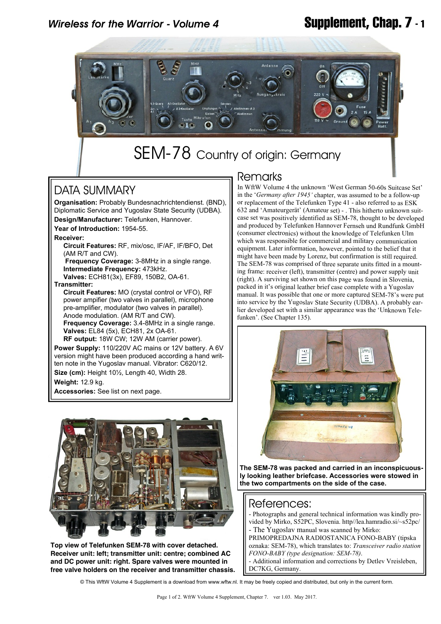# *Wireless for the Warrior - Volume 4* **Supplement, Chap. 7 - 1**



# SEM-78 Country of origin: Germany

## DATA SUMMARY

**Organisation:** Probably Bundesnachrichtendienst. (BND), Diplomatic Service and Yugoslav State Security (UDBA).

**Design/Manufacturer:** Telefunken, Hannover.

**Year of Introduction:** 1954-55.

**Receiver:**

 **Circuit Features:** RF, mix/osc, IF/AF, IF/BFO, Det (AM R/T and CW).

 **Frequency Coverage:** 3-8MHz in a single range.  **Intermediate Frequency:** 473kHz.

 **Valves:** ECH81(3x), EF89, 150B2, OA-61. **Transmitter:**

 **Circuit Features:** MO (crystal control or VFO), RF power ampifier (two valves in parallel), microphone pre-amplifier, modulator (two valves in parallel). Anode modulation. (AM R/T and CW).  **Frequency Coverage:** 3.4-8MHz in a single range.  **Valves:** EL84 (5x), ECH81, 2x OA-61.

**RF output:** 18W CW; 12W AM (carrier power). **Power Supply:** 110/220V AC mains or 12V battery. A 6V version might have been produced according a hand written note in the Yugoslav manual. Vibrator: C620/12. **Size (cm):** Height 10½, Length 40, Width 28.

**Weight:** 12.9 kg.

**Accessories:** See list on next page.



**Top view of Telefunken SEM-78 with cover detached. Receiver unit: left; transmitter unit: centre; combined AC and DC power unit: right. Spare valves were mounted in free valve holders on the receiver and transmitter chassis.**

### **Remarks**

In WftW Volume 4 the unknown 'West German 50-60s Suitcase Set' in the '*Germany after 1945'* chapter, was assumed to be a follow-up or replacement of the Telefunken Type 41 - also referred to as ESK 632 and 'Amateurgerät' (Amateur set) - . This hitherto unknown suitcase set was positively identified as SEM-78, thought to be developed and produced by Telefunken Hannover Fernseh und Rundfunk GmbH (consumer electronics) without the knowledge of Telefunken Ulm which was responsible for commercial and military communication equipment. Later information, however, pointed to the belief that it might have been made by Lorenz, but confirmation is still required. The SEM-78 was comprised of three separate units fitted in a mounting frame: receiver (left), transmitter (centre) and power supply unit (right). A surviving set shown on this page was found in Slovenia, packed in it's original leather brief case complete with a Yugoslav manual. It was possible that one or more captured SEM-78's were put into service by the Yugoslav State Security (UDBA). A probably earlier developed set with a similar appearance was the 'Unknown Telefunken'. (See Chapter 135).



**The SEM-78 was packed and carried in an inconspicuously looking leather briefcase. Accessories were stowed in the two compartments on the side of the case.**

### References:

- Photographs and general technical information was kindly provided by Mirko, S52PC, Slovenia. http//lea.hamradio.si/~s52pc/
- The Yugoslav manual was scanned by Mirko: PRIMOPREDAJNA RADIOSTANICA FONO-BABY (tipska

oznaka: SEM-78), which translates to: *Transceiver radio station FONO-BABY (type designation: SEM-78)*.

- Additional information and corrections by Detlev Vreisleben, DC7KG, Germany.

© This WftW Volume 4 Supplement is a download from www.wftw.nl. It may be freely copied and distributed, but only in the current form.